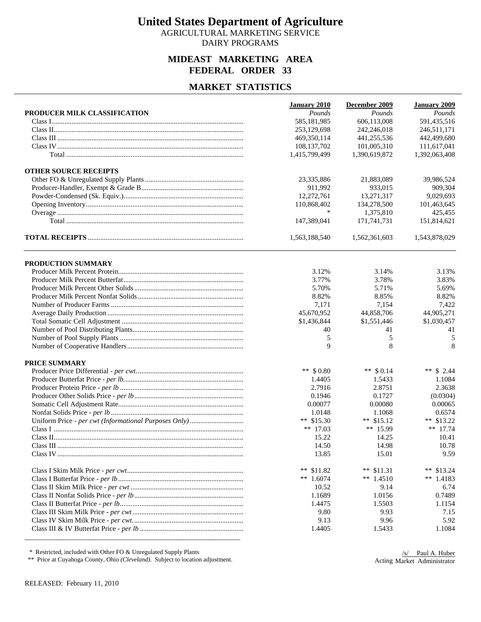AGRICULTURAL MARKETING SERVICE DAIRY PROGRAMS

### **MIDEAST MARKETING AREA FEDERAL ORDER 33**

### **MARKET STATISTICS**

| Pounds<br>Pounds<br>Pounds<br>585,181,985<br>606,113,008<br>591,435,516<br>253,129,698<br>242,246,018<br>246,511,171<br>469,350,114<br>441,255,536<br>442,499,680<br>108, 137, 702<br>101,005,310<br>111,617,041<br>1,415,799,499<br>1,390,619,872<br>1,392,063,408<br>23,335,886<br>21,883,089<br>39,986,524<br>911,992<br>933.015<br>909,304<br>12,272,761<br>13,271,317<br>9,029,693<br>110,868,402<br>134,278,500<br>101,463,645<br>*<br>1,375,810<br>425,455<br>147,389,041<br>151,814,621<br>171,741,731<br>1,563,188,540<br>1,543,878,029<br>1,562,361,603<br>PRODUCTION SUMMARY<br>3.12%<br>3.14%<br>3.13%<br>3.78%<br>3.83%<br>3.77%<br>5.70%<br>5.71%<br>5.69%<br>8.82%<br>8.85%<br>8.82%<br>7,171<br>7,154<br>7,422<br>45,670,952<br>44,858,706<br>44,905,271<br>\$1,436,844<br>\$1,030,457<br>\$1,551,446<br>41<br>40<br>41<br>5<br>5<br>5<br>9<br>8<br>8<br>** $$0.80$<br>** $$0.14$<br>** $$2.44$<br>1.1084<br>1.4405<br>1.5433<br>2.7916<br>2.8751<br>2.3638<br>0.1946<br>0.1727<br>(0.0304)<br>0.00077<br>0.00080<br>0.00065<br>1.0148<br>1.1068<br>0.6574<br>** $$15.30$<br>** $$15.12$<br>** $$13.22$<br>** 15.99<br>$**$ 17.74<br>** $17.03$<br>15.22<br>14.25<br>10.41<br>14.50<br>14.98<br>10.78<br>13.85<br>15.01<br>9.59<br>** \$13.24<br>** $$11.82$<br>** $$11.31$<br>** $1.6074$<br>** $1.4510$<br>** $1.4183$<br>9.14<br>10.52<br>6.74<br>1.1689<br>1.0156<br>0.7489<br>1.5503<br>1.4475<br>1.1154<br>9.80<br>9.93<br>7.15<br>5.92<br>9.13<br>9.96 |                              | <b>January 2010</b> | December 2009 | <b>January 2009</b> |
|-------------------------------------------------------------------------------------------------------------------------------------------------------------------------------------------------------------------------------------------------------------------------------------------------------------------------------------------------------------------------------------------------------------------------------------------------------------------------------------------------------------------------------------------------------------------------------------------------------------------------------------------------------------------------------------------------------------------------------------------------------------------------------------------------------------------------------------------------------------------------------------------------------------------------------------------------------------------------------------------------------------------------------------------------------------------------------------------------------------------------------------------------------------------------------------------------------------------------------------------------------------------------------------------------------------------------------------------------------------------------------------------------------------------------------------------------------------------------------|------------------------------|---------------------|---------------|---------------------|
|                                                                                                                                                                                                                                                                                                                                                                                                                                                                                                                                                                                                                                                                                                                                                                                                                                                                                                                                                                                                                                                                                                                                                                                                                                                                                                                                                                                                                                                                               | PRODUCER MILK CLASSIFICATION |                     |               |                     |
|                                                                                                                                                                                                                                                                                                                                                                                                                                                                                                                                                                                                                                                                                                                                                                                                                                                                                                                                                                                                                                                                                                                                                                                                                                                                                                                                                                                                                                                                               |                              |                     |               |                     |
|                                                                                                                                                                                                                                                                                                                                                                                                                                                                                                                                                                                                                                                                                                                                                                                                                                                                                                                                                                                                                                                                                                                                                                                                                                                                                                                                                                                                                                                                               |                              |                     |               |                     |
|                                                                                                                                                                                                                                                                                                                                                                                                                                                                                                                                                                                                                                                                                                                                                                                                                                                                                                                                                                                                                                                                                                                                                                                                                                                                                                                                                                                                                                                                               |                              |                     |               |                     |
|                                                                                                                                                                                                                                                                                                                                                                                                                                                                                                                                                                                                                                                                                                                                                                                                                                                                                                                                                                                                                                                                                                                                                                                                                                                                                                                                                                                                                                                                               |                              |                     |               |                     |
|                                                                                                                                                                                                                                                                                                                                                                                                                                                                                                                                                                                                                                                                                                                                                                                                                                                                                                                                                                                                                                                                                                                                                                                                                                                                                                                                                                                                                                                                               |                              |                     |               |                     |
|                                                                                                                                                                                                                                                                                                                                                                                                                                                                                                                                                                                                                                                                                                                                                                                                                                                                                                                                                                                                                                                                                                                                                                                                                                                                                                                                                                                                                                                                               | <b>OTHER SOURCE RECEIPTS</b> |                     |               |                     |
|                                                                                                                                                                                                                                                                                                                                                                                                                                                                                                                                                                                                                                                                                                                                                                                                                                                                                                                                                                                                                                                                                                                                                                                                                                                                                                                                                                                                                                                                               |                              |                     |               |                     |
|                                                                                                                                                                                                                                                                                                                                                                                                                                                                                                                                                                                                                                                                                                                                                                                                                                                                                                                                                                                                                                                                                                                                                                                                                                                                                                                                                                                                                                                                               |                              |                     |               |                     |
|                                                                                                                                                                                                                                                                                                                                                                                                                                                                                                                                                                                                                                                                                                                                                                                                                                                                                                                                                                                                                                                                                                                                                                                                                                                                                                                                                                                                                                                                               |                              |                     |               |                     |
|                                                                                                                                                                                                                                                                                                                                                                                                                                                                                                                                                                                                                                                                                                                                                                                                                                                                                                                                                                                                                                                                                                                                                                                                                                                                                                                                                                                                                                                                               |                              |                     |               |                     |
|                                                                                                                                                                                                                                                                                                                                                                                                                                                                                                                                                                                                                                                                                                                                                                                                                                                                                                                                                                                                                                                                                                                                                                                                                                                                                                                                                                                                                                                                               |                              |                     |               |                     |
|                                                                                                                                                                                                                                                                                                                                                                                                                                                                                                                                                                                                                                                                                                                                                                                                                                                                                                                                                                                                                                                                                                                                                                                                                                                                                                                                                                                                                                                                               |                              |                     |               |                     |
|                                                                                                                                                                                                                                                                                                                                                                                                                                                                                                                                                                                                                                                                                                                                                                                                                                                                                                                                                                                                                                                                                                                                                                                                                                                                                                                                                                                                                                                                               |                              |                     |               |                     |
|                                                                                                                                                                                                                                                                                                                                                                                                                                                                                                                                                                                                                                                                                                                                                                                                                                                                                                                                                                                                                                                                                                                                                                                                                                                                                                                                                                                                                                                                               |                              |                     |               |                     |
|                                                                                                                                                                                                                                                                                                                                                                                                                                                                                                                                                                                                                                                                                                                                                                                                                                                                                                                                                                                                                                                                                                                                                                                                                                                                                                                                                                                                                                                                               |                              |                     |               |                     |
|                                                                                                                                                                                                                                                                                                                                                                                                                                                                                                                                                                                                                                                                                                                                                                                                                                                                                                                                                                                                                                                                                                                                                                                                                                                                                                                                                                                                                                                                               |                              |                     |               |                     |
|                                                                                                                                                                                                                                                                                                                                                                                                                                                                                                                                                                                                                                                                                                                                                                                                                                                                                                                                                                                                                                                                                                                                                                                                                                                                                                                                                                                                                                                                               |                              |                     |               |                     |
|                                                                                                                                                                                                                                                                                                                                                                                                                                                                                                                                                                                                                                                                                                                                                                                                                                                                                                                                                                                                                                                                                                                                                                                                                                                                                                                                                                                                                                                                               |                              |                     |               |                     |
|                                                                                                                                                                                                                                                                                                                                                                                                                                                                                                                                                                                                                                                                                                                                                                                                                                                                                                                                                                                                                                                                                                                                                                                                                                                                                                                                                                                                                                                                               |                              |                     |               |                     |
|                                                                                                                                                                                                                                                                                                                                                                                                                                                                                                                                                                                                                                                                                                                                                                                                                                                                                                                                                                                                                                                                                                                                                                                                                                                                                                                                                                                                                                                                               |                              |                     |               |                     |
|                                                                                                                                                                                                                                                                                                                                                                                                                                                                                                                                                                                                                                                                                                                                                                                                                                                                                                                                                                                                                                                                                                                                                                                                                                                                                                                                                                                                                                                                               |                              |                     |               |                     |
|                                                                                                                                                                                                                                                                                                                                                                                                                                                                                                                                                                                                                                                                                                                                                                                                                                                                                                                                                                                                                                                                                                                                                                                                                                                                                                                                                                                                                                                                               |                              |                     |               |                     |
|                                                                                                                                                                                                                                                                                                                                                                                                                                                                                                                                                                                                                                                                                                                                                                                                                                                                                                                                                                                                                                                                                                                                                                                                                                                                                                                                                                                                                                                                               |                              |                     |               |                     |
|                                                                                                                                                                                                                                                                                                                                                                                                                                                                                                                                                                                                                                                                                                                                                                                                                                                                                                                                                                                                                                                                                                                                                                                                                                                                                                                                                                                                                                                                               |                              |                     |               |                     |
|                                                                                                                                                                                                                                                                                                                                                                                                                                                                                                                                                                                                                                                                                                                                                                                                                                                                                                                                                                                                                                                                                                                                                                                                                                                                                                                                                                                                                                                                               | <b>PRICE SUMMARY</b>         |                     |               |                     |
|                                                                                                                                                                                                                                                                                                                                                                                                                                                                                                                                                                                                                                                                                                                                                                                                                                                                                                                                                                                                                                                                                                                                                                                                                                                                                                                                                                                                                                                                               |                              |                     |               |                     |
|                                                                                                                                                                                                                                                                                                                                                                                                                                                                                                                                                                                                                                                                                                                                                                                                                                                                                                                                                                                                                                                                                                                                                                                                                                                                                                                                                                                                                                                                               |                              |                     |               |                     |
|                                                                                                                                                                                                                                                                                                                                                                                                                                                                                                                                                                                                                                                                                                                                                                                                                                                                                                                                                                                                                                                                                                                                                                                                                                                                                                                                                                                                                                                                               |                              |                     |               |                     |
|                                                                                                                                                                                                                                                                                                                                                                                                                                                                                                                                                                                                                                                                                                                                                                                                                                                                                                                                                                                                                                                                                                                                                                                                                                                                                                                                                                                                                                                                               |                              |                     |               |                     |
|                                                                                                                                                                                                                                                                                                                                                                                                                                                                                                                                                                                                                                                                                                                                                                                                                                                                                                                                                                                                                                                                                                                                                                                                                                                                                                                                                                                                                                                                               |                              |                     |               |                     |
|                                                                                                                                                                                                                                                                                                                                                                                                                                                                                                                                                                                                                                                                                                                                                                                                                                                                                                                                                                                                                                                                                                                                                                                                                                                                                                                                                                                                                                                                               |                              |                     |               |                     |
|                                                                                                                                                                                                                                                                                                                                                                                                                                                                                                                                                                                                                                                                                                                                                                                                                                                                                                                                                                                                                                                                                                                                                                                                                                                                                                                                                                                                                                                                               |                              |                     |               |                     |
|                                                                                                                                                                                                                                                                                                                                                                                                                                                                                                                                                                                                                                                                                                                                                                                                                                                                                                                                                                                                                                                                                                                                                                                                                                                                                                                                                                                                                                                                               |                              |                     |               |                     |
|                                                                                                                                                                                                                                                                                                                                                                                                                                                                                                                                                                                                                                                                                                                                                                                                                                                                                                                                                                                                                                                                                                                                                                                                                                                                                                                                                                                                                                                                               |                              |                     |               |                     |
|                                                                                                                                                                                                                                                                                                                                                                                                                                                                                                                                                                                                                                                                                                                                                                                                                                                                                                                                                                                                                                                                                                                                                                                                                                                                                                                                                                                                                                                                               |                              |                     |               |                     |
|                                                                                                                                                                                                                                                                                                                                                                                                                                                                                                                                                                                                                                                                                                                                                                                                                                                                                                                                                                                                                                                                                                                                                                                                                                                                                                                                                                                                                                                                               |                              |                     |               |                     |
|                                                                                                                                                                                                                                                                                                                                                                                                                                                                                                                                                                                                                                                                                                                                                                                                                                                                                                                                                                                                                                                                                                                                                                                                                                                                                                                                                                                                                                                                               |                              |                     |               |                     |
|                                                                                                                                                                                                                                                                                                                                                                                                                                                                                                                                                                                                                                                                                                                                                                                                                                                                                                                                                                                                                                                                                                                                                                                                                                                                                                                                                                                                                                                                               |                              |                     |               |                     |
|                                                                                                                                                                                                                                                                                                                                                                                                                                                                                                                                                                                                                                                                                                                                                                                                                                                                                                                                                                                                                                                                                                                                                                                                                                                                                                                                                                                                                                                                               |                              |                     |               |                     |
|                                                                                                                                                                                                                                                                                                                                                                                                                                                                                                                                                                                                                                                                                                                                                                                                                                                                                                                                                                                                                                                                                                                                                                                                                                                                                                                                                                                                                                                                               |                              |                     |               |                     |
|                                                                                                                                                                                                                                                                                                                                                                                                                                                                                                                                                                                                                                                                                                                                                                                                                                                                                                                                                                                                                                                                                                                                                                                                                                                                                                                                                                                                                                                                               |                              |                     |               |                     |
|                                                                                                                                                                                                                                                                                                                                                                                                                                                                                                                                                                                                                                                                                                                                                                                                                                                                                                                                                                                                                                                                                                                                                                                                                                                                                                                                                                                                                                                                               |                              |                     |               |                     |
|                                                                                                                                                                                                                                                                                                                                                                                                                                                                                                                                                                                                                                                                                                                                                                                                                                                                                                                                                                                                                                                                                                                                                                                                                                                                                                                                                                                                                                                                               |                              |                     |               |                     |
| 1.4405<br>1.5433<br>1.1084                                                                                                                                                                                                                                                                                                                                                                                                                                                                                                                                                                                                                                                                                                                                                                                                                                                                                                                                                                                                                                                                                                                                                                                                                                                                                                                                                                                                                                                    |                              |                     |               |                     |

\* Restricted, included with Other FO & Unregulated Supply Plants

\*\* Price at Cuyahoga County, Ohio *(Cleveland)*. Subject to location adjustment.

Acting Market Administrator/s/ Paul A. Huber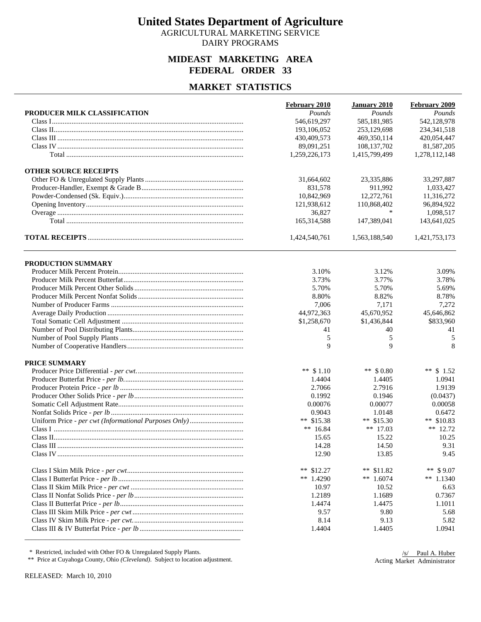AGRICULTURAL MARKETING SERVICE DAIRY PROGRAMS

### **MIDEAST MARKETING AREA FEDERAL ORDER 33**

### **MARKET STATISTICS**

|                              | February 2010 | January 2010  | February 2009 |
|------------------------------|---------------|---------------|---------------|
| PRODUCER MILK CLASSIFICATION | Pounds        | Pounds        | Pounds        |
|                              | 546,619,297   | 585,181,985   | 542,128,978   |
|                              | 193,106,052   | 253,129,698   | 234, 341, 518 |
|                              | 430,409,573   | 469,350,114   | 420,054,447   |
|                              | 89,091,251    | 108,137,702   | 81,587,205    |
|                              | 1,259,226,173 | 1,415,799,499 | 1,278,112,148 |
| <b>OTHER SOURCE RECEIPTS</b> |               |               |               |
|                              | 31,664,602    | 23,335,886    | 33,297,887    |
|                              | 831,578       | 911,992       | 1,033,427     |
|                              | 10,842,969    | 12,272,761    | 11,316,272    |
|                              | 121,938,612   | 110,868,402   | 96,894,922    |
|                              | 36,827        | $\ast$        | 1,098,517     |
|                              | 165,314,588   | 147,389,041   | 143,641,025   |
|                              | 1,424,540,761 | 1,563,188,540 | 1,421,753,173 |
| PRODUCTION SUMMARY           |               |               |               |
|                              | 3.10%         | 3.12%         | 3.09%         |
|                              | 3.73%         | 3.77%         | 3.78%         |
|                              | 5.70%         | 5.70%         | 5.69%         |
|                              | 8.80%         | 8.82%         | 8.78%         |
|                              | 7,006         | 7,171         | 7,272         |
|                              | 44,972,363    | 45,670,952    | 45,646,862    |
|                              | \$1,258,670   | \$1,436,844   | \$833,960     |
|                              | 41            | 40            | 41            |
|                              | 5             | 5             | 5             |
|                              | 9             | 9             | 8             |
| <b>PRICE SUMMARY</b>         |               |               |               |
|                              | ** $$1.10$    | ** $$0.80$    | ** $$1.52$    |
|                              | 1.4404        | 1.4405        | 1.0941        |
|                              | 2.7066        | 2.7916        | 1.9139        |
|                              | 0.1992        | 0.1946        | (0.0437)      |
|                              | 0.00076       | 0.00077       | 0.00058       |
|                              | 0.9043        | 1.0148        | 0.6472        |
|                              | ** $$15.38$   | ** $$15.30$   | ** $$10.83$   |
|                              | ** $16.84$    | ** $17.03$    | ** $12.72$    |
|                              | 15.65         | 15.22         | 10.25         |
|                              | 14.28         | 14.50         | 9.31          |
|                              | 12.90         | 13.85         | 9.45          |
|                              | ** $$12.27$   | ** $$11.82$   | ** $$9.07$    |
|                              | ** 1.4290     | ** $1.6074$   | ** $1.1340$   |
|                              | 10.97         | 10.52         | 6.63          |
|                              | 1.2189        | 1.1689        | 0.7367        |
|                              | 1.4474        | 1.4475        | 1.1011        |
|                              | 9.57          | 9.80          | 5.68          |
|                              | 8.14          | 9.13          | 5.82          |
|                              | 1.4404        | 1.4405        | 1.0941        |

\* Restricted, included with Other FO & Unregulated Supply Plants.

\*\* Price at Cuyahoga County, Ohio *(Cleveland)*. Subject to location adjustment.

Acting Market Administrator/s/ Paul A. Huber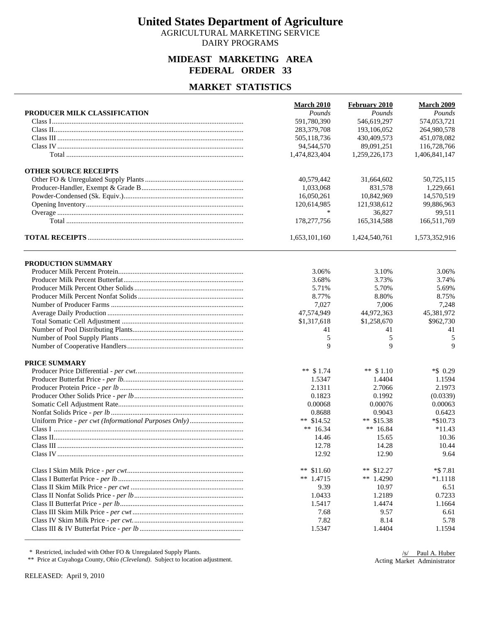AGRICULTURAL MARKETING SERVICE DAIRY PROGRAMS

### **MIDEAST MARKETING AREA FEDERAL ORDER 33**

### **MARKET STATISTICS**

|                              | <b>March 2010</b>     | February 2010         | <b>March 2009</b>     |
|------------------------------|-----------------------|-----------------------|-----------------------|
| PRODUCER MILK CLASSIFICATION | Pounds<br>591,780,390 | Pounds<br>546,619,297 | Pounds<br>574,053,721 |
|                              |                       |                       |                       |
|                              | 505,118,736           | 430,409,573           | 451,078,082           |
|                              | 94,544,570            | 89,091,251            | 116,728,766           |
|                              | 1,474,823,404         | 1,259,226,173         | 1,406,841,147         |
| <b>OTHER SOURCE RECEIPTS</b> |                       |                       |                       |
|                              | 40,579,442            | 31,664,602            | 50,725,115            |
|                              | 1,033,068             | 831,578               | 1,229,661             |
|                              | 16,050,261            | 10,842,969            | 14,570,519            |
|                              | 120,614,985           | 121,938,612           | 99,886,963            |
|                              |                       | 36,827                | 99,511                |
|                              | 178,277,756           | 165,314,588           | 166,511,769           |
|                              | 1,653,101,160         | 1,424,540,761         | 1,573,352,916         |
| PRODUCTION SUMMARY           |                       |                       |                       |
|                              | 3.06%                 | 3.10%                 | 3.06%                 |
|                              | 3.68%                 | 3.73%                 | 3.74%                 |
|                              | 5.71%                 | 5.70%                 | 5.69%                 |
|                              | 8.77%                 | 8.80%                 | 8.75%                 |
|                              | 7,027                 | 7,006                 | 7,248                 |
|                              | 47,574,949            | 44,972,363            | 45,381,972            |
|                              | \$1,317,618           | \$1,258,670           | \$962,730             |
|                              | 41                    | 41                    | 41                    |
|                              | 5                     | 5                     | 5                     |
|                              | 9                     | 9                     | 9                     |
| PRICE SUMMARY                |                       |                       |                       |
|                              | ** $$1.74$            | ** $$1.10$            | $*$ \$ 0.29           |
|                              | 1.5347                | 1.4404                | 1.1594                |
|                              | 2.1311                | 2.7066                | 2.1973                |
|                              | 0.1823                | 0.1992                | (0.0339)              |
|                              | 0.00068               | 0.00076               | 0.00063               |
|                              | 0.8688                | 0.9043                | 0.6423                |
|                              | ** $$14.52$           | ** $$15.38$           | $*$ \$10.73           |
|                              | ** 16.34              | ** 16.84              | $*11.43$              |
|                              | 14.46                 | 15.65                 | 10.36                 |
|                              | 12.78                 | 14.28                 | 10.44                 |
|                              | 12.92                 | 12.90                 | 9.64                  |
|                              | ** $$11.60$           | ** $$12.27$           | $*$ \$7.81            |
|                              | $**$ 1.4715           | ** $1.4290$           | $*1.1118$             |
|                              | 9.39                  | 10.97                 | 6.51                  |
|                              | 1.0433                | 1.2189                | 0.7233                |
|                              | 1.5417                | 1.4474                | 1.1664                |
|                              | 7.68                  | 9.57                  | 6.61                  |
|                              | 7.82                  | 8.14                  | 5.78                  |
|                              | 1.5347                | 1.4404                | 1.1594                |

\* Restricted, included with Other FO & Unregulated Supply Plants.

\*\* Price at Cuyahoga County, Ohio *(Cleveland)*. Subject to location adjustment.

Acting Market Administrator/s/ Paul A. Huber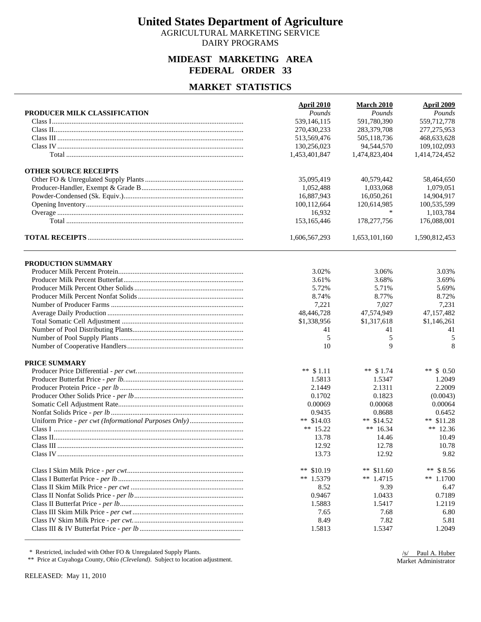AGRICULTURAL MARKETING SERVICE DAIRY PROGRAMS

### **MIDEAST MARKETING AREA FEDERAL ORDER 33**

### **MARKET STATISTICS**

|                              | April 2010    | <b>March 2010</b> | <b>April 2009</b> |
|------------------------------|---------------|-------------------|-------------------|
| PRODUCER MILK CLASSIFICATION | Pounds        | Pounds            | Pounds            |
|                              | 539,146,115   | 591,780,390       | 559,712,778       |
|                              | 270,430,233   | 283,379,708       | 277, 275, 953     |
|                              | 513,569,476   | 505,118,736       | 468, 633, 628     |
|                              | 130,256,023   | 94,544,570        | 109,102,093       |
|                              | 1,453,401,847 | 1,474,823,404     | 1,414,724,452     |
| <b>OTHER SOURCE RECEIPTS</b> |               |                   |                   |
|                              | 35,095,419    | 40,579,442        | 58,464,650        |
|                              | 1,052,488     | 1.033.068         | 1.079.051         |
|                              | 16,887,943    | 16,050,261        | 14,904,917        |
|                              | 100,112,664   | 120,614,985       | 100,535,599       |
|                              | 16,932        | $\ast$            | 1,103,784         |
|                              | 153,165,446   | 178, 277, 756     | 176,088,001       |
|                              | 1,606,567,293 | 1,653,101,160     | 1,590,812,453     |
| PRODUCTION SUMMARY           |               |                   |                   |
|                              | 3.02%         | 3.06%             | 3.03%             |
|                              | 3.61%         | 3.68%             | 3.69%             |
|                              | 5.72%         | 5.71%             | 5.69%             |
|                              | 8.74%         | 8.77%             | 8.72%             |
|                              | 7,221         | 7,027             | 7,231             |
|                              | 48,446,728    | 47,574,949        | 47,157,482        |
|                              | \$1,338,956   | \$1,317,618       | \$1,146,261       |
|                              | 41            | 41                | 41                |
|                              | 5             | 5                 | 5                 |
|                              | 10            | 9                 | 8                 |
| PRICE SUMMARY                |               |                   |                   |
|                              | ** $$1.11$    | ** $$1.74$        | ** $$0.50$        |
|                              | 1.5813        | 1.5347            | 1.2049            |
|                              | 2.1449        | 2.1311            | 2.2009            |
|                              | 0.1702        | 0.1823            | (0.0043)          |
|                              | 0.00069       | 0.00068           | 0.00064           |
|                              | 0.9435        | 0.8688            | 0.6452            |
|                              | ** $$14.03$   | ** $$14.52$       | ** $$11.28$       |
|                              | ** $15.22$    | ** $16.34$        | ** 12.36          |
|                              | 13.78         | 14.46             | 10.49             |
|                              | 12.92         | 12.78             | 10.78             |
|                              | 13.73         | 12.92             | 9.82              |
|                              | ** $$10.19$   | ** $$11.60$       | **<br>\$8.56      |
|                              | ** $1.5379$   | $**$ 1.4715       | ** $1.1700$       |
|                              | 8.52          | 9.39              | 6.47              |
|                              | 0.9467        | 1.0433            | 0.7189            |
|                              | 1.5883        | 1.5417            | 1.2119            |
|                              | 7.65          | 7.68              | 6.80              |
|                              | 8.49          | 7.82              | 5.81              |
|                              | 1.5813        | 1.5347            | 1.2049            |

\* Restricted, included with Other FO & Unregulated Supply Plants.

\*\* Price at Cuyahoga County, Ohio *(Cleveland)*. Subject to location adjustment.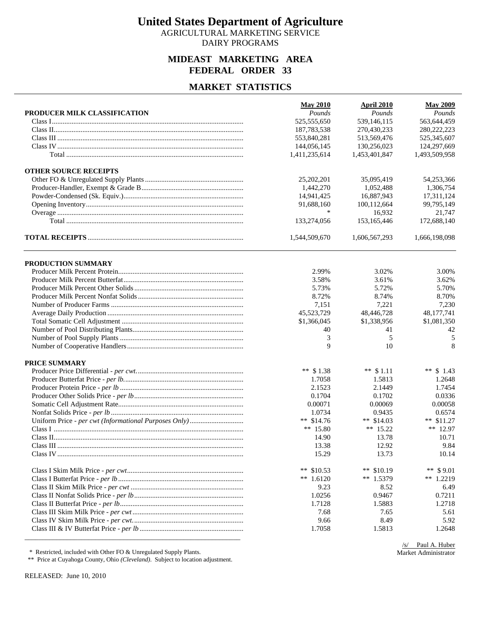AGRICULTURAL MARKETING SERVICE DAIRY PROGRAMS

### **MIDEAST MARKETING AREA FEDERAL ORDER 33**

### **MARKET STATISTICS**

|                              | <b>May 2010</b> | <b>April 2010</b> | <b>May 2009</b> |
|------------------------------|-----------------|-------------------|-----------------|
| PRODUCER MILK CLASSIFICATION | Pounds          | Pounds            | Pounds          |
|                              | 525,555,650     | 539.146.115       | 563,644,459     |
|                              | 187,783,538     | 270,430,233       | 280, 222, 223   |
|                              | 553,840,281     | 513,569,476       | 525,345,607     |
|                              | 144,056,145     | 130,256,023       | 124,297,669     |
|                              | 1,411,235,614   | 1,453,401,847     | 1,493,509,958   |
| <b>OTHER SOURCE RECEIPTS</b> |                 |                   |                 |
|                              | 25,202,201      | 35,095,419        | 54,253,366      |
|                              | 1,442,270       | 1,052,488         | 1,306,754       |
|                              | 14,941,425      | 16,887,943        | 17,311,124      |
|                              | 91,688,160      | 100,112,664       | 99,795,149      |
|                              | *               | 16,932            | 21,747          |
|                              | 133,274,056     | 153,165,446       | 172,688,140     |
|                              | 1,544,509,670   | 1,606,567,293     | 1,666,198,098   |
| PRODUCTION SUMMARY           |                 |                   |                 |
|                              | 2.99%           | 3.02%             | 3.00%           |
|                              | 3.58%           | 3.61%             | 3.62%           |
|                              | 5.73%           | 5.72%             | 5.70%           |
|                              | 8.72%           | 8.74%             | 8.70%           |
|                              |                 |                   |                 |
|                              | 7,151           | 7,221             | 7,230           |
|                              | 45,523,729      | 48,446,728        | 48,177,741      |
|                              | \$1,366,045     | \$1,338,956       | \$1,081,350     |
|                              | 40              | 41                | 42              |
|                              | 3               | 5                 | 5               |
|                              | 9               | 10                | 8               |
| PRICE SUMMARY                |                 |                   |                 |
|                              | ** $$1.38$      | ** $$1.11$        | ** $$1.43$      |
|                              | 1.7058          | 1.5813            | 1.2648          |
|                              | 2.1523          | 2.1449            | 1.7454          |
|                              | 0.1704          | 0.1702            | 0.0336          |
|                              | 0.00071         | 0.00069           | 0.00058         |
|                              | 1.0734          | 0.9435            | 0.6574          |
|                              | ** $$14.76$     | ** $$14.03$       | ** $$11.27$     |
|                              | ** 15.80        | ** $15.22$        | ** 12.97        |
|                              | 14.90           | 13.78             | 10.71           |
|                              | 13.38           | 12.92             | 9.84            |
|                              | 15.29           | 13.73             | 10.14           |
|                              |                 |                   |                 |
|                              | ** $$10.53$     | ** $$10.19$       | ** $$9.01$      |
|                              | ** $1.6120$     | $**$ 1.5379       | ** $1.2219$     |
|                              | 9.23            | 8.52              | 6.49            |
|                              | 1.0256          | 0.9467            | 0.7211          |
|                              | 1.7128          | 1.5883            | 1.2718          |
|                              | 7.68            | 7.65              | 5.61            |
|                              | 9.66            | 8.49              | 5.92            |
|                              | 1.7058          | 1.5813            | 1.2648          |
|                              |                 |                   |                 |

\* Restricted, included with Other FO & Unregulated Supply Plants.

\*\* Price at Cuyahoga County, Ohio *(Cleveland)*. Subject to location adjustment.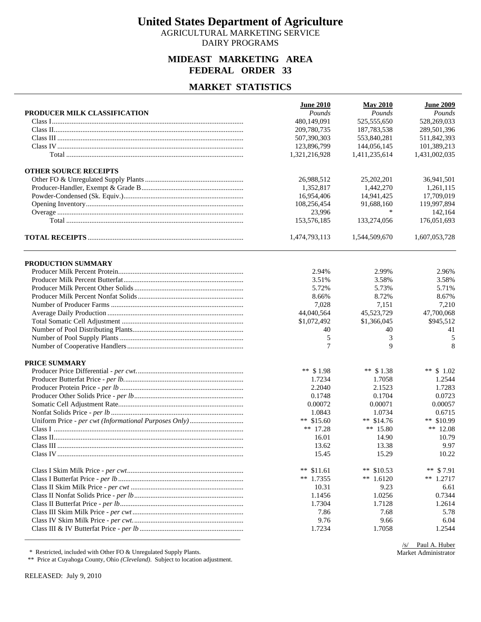AGRICULTURAL MARKETING SERVICE DAIRY PROGRAMS

### **MIDEAST MARKETING AREA FEDERAL ORDER 33**

### **MARKET STATISTICS**

|                              | <b>June 2010</b> | <b>May 2010</b> | <b>June 2009</b> |
|------------------------------|------------------|-----------------|------------------|
| PRODUCER MILK CLASSIFICATION | Pounds           | Pounds          | Pounds           |
|                              | 480,149,091      | 525,555,650     | 528,269,033      |
|                              | 209,780,735      | 187,783,538     | 289,501,396      |
|                              | 507,390,303      | 553,840,281     | 511,842,393      |
|                              | 123,896,799      | 144,056,145     | 101,389,213      |
|                              | 1,321,216,928    | 1,411,235,614   | 1,431,002,035    |
| <b>OTHER SOURCE RECEIPTS</b> |                  |                 |                  |
|                              | 26,988,512       | 25,202,201      | 36,941,501       |
|                              | 1,352,817        | 1,442,270       | 1,261,115        |
|                              | 16,954,406       | 14,941,425      | 17,709,019       |
|                              | 108,256,454      | 91,688,160      | 119,997,894      |
|                              | 23,996           | $\ast$          | 142,164          |
|                              | 153,576,185      | 133,274,056     | 176,051,693      |
|                              | 1,474,793,113    | 1,544,509,670   | 1,607,053,728    |
| PRODUCTION SUMMARY           |                  |                 |                  |
|                              | 2.94%            | 2.99%           | 2.96%            |
|                              | 3.51%            | 3.58%           | 3.58%            |
|                              | 5.72%            | 5.73%           | 5.71%            |
|                              | 8.66%            | 8.72%           | 8.67%            |
|                              | 7,028            | 7,151           | 7,210            |
|                              | 44,040,564       | 45,523,729      | 47,700,068       |
|                              | \$1,072,492      | \$1,366,045     | \$945,512        |
|                              | 40               | 40              | 41               |
|                              | 5                | 3               | 5                |
|                              | 7                | 9               | 8                |
| <b>PRICE SUMMARY</b>         |                  |                 |                  |
|                              | ** $$1.98$       | ** $$1.38$      | ** $$1.02$       |
|                              | 1.7234           | 1.7058          | 1.2544           |
|                              | 2.2040           | 2.1523          | 1.7283           |
|                              | 0.1748           | 0.1704          | 0.0723           |
|                              | 0.00072          | 0.00071         | 0.00057          |
|                              | 1.0843           | 1.0734          | 0.6715           |
|                              | ** $$15.60$      | $**$ \$14.76    | ** \$10.99       |
|                              | ** $17.28$       | ** $15.80$      | ** $12.08$       |
|                              | 16.01            | 14.90           | 10.79            |
|                              | 13.62            | 13.38           | 9.97             |
|                              | 15.45            | 15.29           | 10.22            |
|                              |                  |                 |                  |
|                              | ** $$11.61$      | ** $$10.53$     | ** $$7.91$       |
|                              | $**$ 1.7355      | ** $1.6120$     | $**$ 1.2717      |
|                              | 10.31            | 9.23            | 6.61             |
|                              | 1.1456           | 1.0256          | 0.7344           |
|                              | 1.7304           | 1.7128          | 1.2614           |
|                              | 7.86             | 7.68            | 5.78             |
|                              | 9.76             | 9.66            | 6.04             |
|                              | 1.7234           | 1.7058          | 1.2544           |

\* Restricted, included with Other FO & Unregulated Supply Plants.

\*\* Price at Cuyahoga County, Ohio *(Cleveland)*. Subject to location adjustment.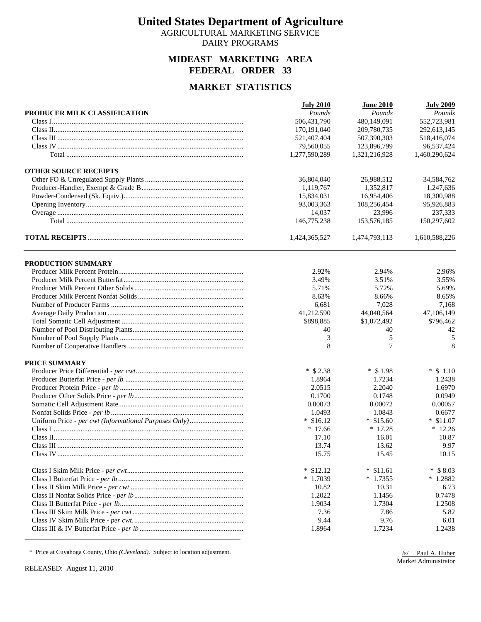AGRICULTURAL MARKETING SERVICE DAIRY PROGRAMS

### **MIDEAST MARKETING AREA FEDERAL ORDER 33**

### **MARKET STATISTICS**

|                              | <b>July 2010</b> | <b>June 2010</b> | <b>July 2009</b> |
|------------------------------|------------------|------------------|------------------|
| PRODUCER MILK CLASSIFICATION | Pounds           | Pounds           | Pounds           |
|                              | 506,431,790      | 480,149,091      | 552,723,981      |
|                              | 170,191,040      | 209,780,735      | 292,613,145      |
|                              | 521,407,404      | 507,390,303      | 518,416,074      |
|                              | 79,560,055       | 123,896,799      | 96,537,424       |
|                              | 1,277,590,289    | 1,321,216,928    | 1,460,290,624    |
| <b>OTHER SOURCE RECEIPTS</b> |                  |                  |                  |
|                              | 36,804,040       | 26,988,512       | 34,584,762       |
|                              | 1,119,767        | 1,352,817        | 1,247,636        |
|                              | 15,834,031       | 16,954,406       | 18,300,988       |
|                              | 93,003,363       | 108,256,454      | 95,926,883       |
|                              | 14,037           | 23,996           | 237,333          |
|                              | 146,775,238      | 153,576,185      | 150,297,602      |
|                              | 1,424,365,527    | 1,474,793,113    | 1,610,588,226    |
| PRODUCTION SUMMARY           |                  |                  |                  |
|                              | 2.92%            | 2.94%            | 2.96%            |
|                              | 3.49%            | 3.51%            | 3.55%            |
|                              | 5.71%            | 5.72%            | 5.69%            |
|                              | 8.63%            | 8.66%            | 8.65%            |
|                              | 6,681            | 7,028            | 7,168            |
|                              | 41,212,590       | 44,040,564       | 47,106,149       |
|                              | \$898,885        | \$1,072,492      | \$796,462        |
|                              | 40               | 40               | 42               |
|                              | 3                | 5                | 5                |
|                              | 8                | $\overline{7}$   | 8                |
| PRICE SUMMARY                |                  |                  |                  |
|                              | $*$ \$ 2.38      | $*$ \$1.98       | $*$ \$ 1.10      |
|                              | 1.8964           | 1.7234           | 1.2438           |
|                              | 2.0515           | 2.2040           | 1.6970           |
|                              | 0.1700           | 0.1748           | 0.0949           |
|                              | 0.00073          | 0.00072          | 0.00057          |
|                              | 1.0493           | 1.0843           | 0.6677           |
|                              | $*$ \$16.12      | $*$ \$15.60      | $*$ \$11.07      |
|                              | $*17.66$         | $*17.28$         | $*12.26$         |
|                              | 17.10            | 16.01            | 10.87            |
|                              | 13.74            | 13.62            | 9.97             |
|                              | 15.75            | 15.45            | 10.15            |
|                              | $*$ \$12.12      | $*$ \$11.61      | $*$ \$ 8.03      |
|                              | $*1.7039$        | $*1.7355$        | $*1.2882$        |
|                              | 10.82            | 10.31            | 6.73             |
|                              | 1.2022           | 1.1456           | 0.7478           |
|                              | 1.9034           | 1.7304           | 1.2508           |
|                              | 7.36             | 7.86             | 5.82             |
|                              | 9.44             | 9.76             | 6.01             |
|                              | 1.8964           | 1.7234           | 1.2438           |

\* Price at Cuyahoga County, Ohio *(Cleveland)*. Subject to location adjustment.

RELEASED: August 11, 2010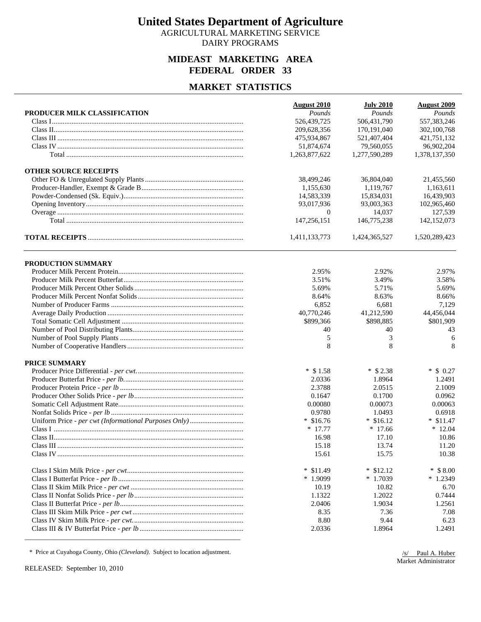AGRICULTURAL MARKETING SERVICE DAIRY PROGRAMS

### **MIDEAST MARKETING AREA FEDERAL ORDER 33**

### **MARKET STATISTICS**

|                              | <b>August 2010</b> | <b>July 2010</b> | <b>August 2009</b> |
|------------------------------|--------------------|------------------|--------------------|
| PRODUCER MILK CLASSIFICATION | Pounds             | Pounds           | Pounds             |
|                              | 526,439,725        | 506,431,790      | 557,383,246        |
|                              | 209,628,356        | 170,191,040      | 302,100,768        |
|                              | 475,934,867        | 521,407,404      | 421,751,132        |
|                              | 51,874,674         | 79,560,055       | 96,902,204         |
|                              | 1,263,877,622      | 1,277,590,289    | 1,378,137,350      |
| <b>OTHER SOURCE RECEIPTS</b> |                    |                  |                    |
|                              | 38,499,246         | 36,804,040       | 21,455,560         |
|                              | 1,155,630          | 1,119,767        | 1,163,611          |
|                              | 14,583,339         | 15,834,031       | 16,439,903         |
|                              | 93,017,936         | 93,003,363       | 102,965,460        |
|                              | $\overline{0}$     | 14,037           | 127,539            |
|                              | 147,256,151        | 146,775,238      | 142,152,073        |
|                              | 1,411,133,773      | 1,424,365,527    | 1,520,289,423      |
| PRODUCTION SUMMARY           |                    |                  |                    |
|                              | 2.95%              | 2.92%            | 2.97%              |
|                              | 3.51%              | 3.49%            | 3.58%              |
|                              | 5.69%              | 5.71%            | 5.69%              |
|                              | 8.64%              | 8.63%            | 8.66%              |
|                              | 6,852              | 6,681            | 7,129              |
|                              | 40,770,246         | 41,212,590       | 44,456,044         |
|                              | \$899,366          | \$898,885        | \$801,909          |
|                              | 40                 | 40               | 43                 |
|                              |                    |                  |                    |
|                              | 5<br>8             | 3<br>8           | 6<br>8             |
|                              |                    |                  |                    |
| <b>PRICE SUMMARY</b>         |                    |                  |                    |
|                              | $*$ \$1.58         | $*$ \$ 2.38      | $*$ \$ 0.27        |
|                              | 2.0336             | 1.8964           | 1.2491             |
|                              | 2.3788             | 2.0515           | 2.1009             |
|                              | 0.1647             | 0.1700           | 0.0962             |
|                              | 0.00080            | 0.00073          | 0.00063            |
|                              | 0.9780             | 1.0493           | 0.6918             |
|                              | $*$ \$16.76        | $*$ \$16.12      | $*$ \$11.47        |
|                              | $*17.77$           | $*17.66$         | $*12.04$           |
|                              | 16.98              | 17.10            | 10.86              |
|                              | 15.18              | 13.74            | 11.20              |
|                              | 15.61              | 15.75            | 10.38              |
|                              |                    |                  |                    |
|                              | $*$ \$11.49        | $*$ \$12.12      | $*$ \$8.00         |
|                              | $*1.9099$          | $*1.7039$        | $*1.2349$          |
|                              | 10.19              | 10.82            | 6.70               |
|                              | 1.1322             | 1.2022           | 0.7444             |
|                              | 2.0406             | 1.9034           | 1.2561             |
|                              | 8.35               | 7.36             | 7.08               |
|                              | 8.80               | 9.44             | 6.23               |
|                              | 2.0336             | 1.8964           | 1.2491             |

\* Price at Cuyahoga County, Ohio *(Cleveland)*. Subject to location adjustment.

RELEASED: September 10, 2010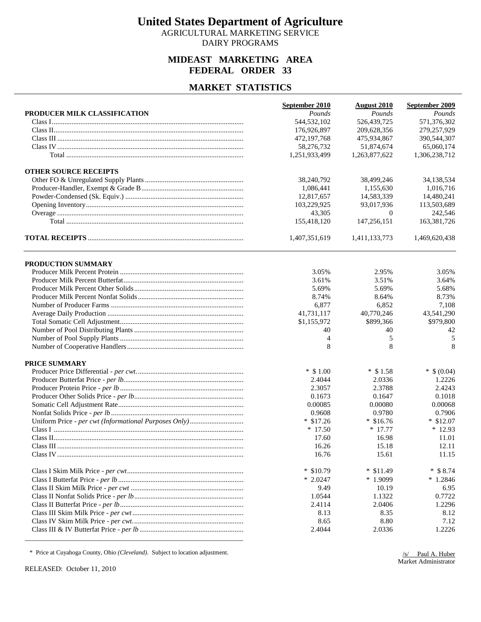AGRICULTURAL MARKETING SERVICE DAIRY PROGRAMS

### **MIDEAST MARKETING AREA FEDERAL ORDER 33**

#### **MARKET STATISTICS**

| Pounds<br>Pounds<br>Pounds<br>PRODUCER MILK CLASSIFICATION<br>544,532,102<br>571,376,302<br>526,439,725<br>176,926,897<br>209,628,356<br>279,257,929<br>475,934,867<br>390,544,307<br>472,197,768<br>58,276,732<br>51,874,674<br>65,060,174<br>1,251,933,499<br>1,263,877,622<br>1,306,238,712<br><b>OTHER SOURCE RECEIPTS</b><br>34,138,534<br>38,240,792<br>38,499,246<br>1,086,441<br>1,155,630<br>1,016,716<br>14,480,241<br>12,817,657<br>14,583,339<br>103,229,925<br>93,017,936<br>113,503,689<br>43,305<br>242,546<br>$\overline{0}$<br>155,418,120<br>147,256,151<br>163,381,726<br>1,407,351,619<br>1,411,133,773<br>1,469,620,438<br>PRODUCTION SUMMARY<br>3.05%<br>2.95%<br>3.05%<br>3.51%<br>3.61%<br>3.64%<br>5.69%<br>5.69%<br>5.68%<br>8.74%<br>8.64%<br>8.73%<br>6,877<br>6,852<br>7,108<br>41,731,117<br>40,770,246<br>43,541,290<br>\$1,155,972<br>\$899,366<br>\$979,800<br>40<br>40<br>42<br>5<br>4<br>5<br>8<br>8<br>8<br>PRICE SUMMARY<br>$*$ \$ 1.00<br>$*$ \$1.58<br>$*$ \$ (0.04)<br>2.4044<br>2.0336<br>1.2226<br>2.3057<br>2.3788<br>2.4243<br>0.1673<br>0.1647<br>0.1018<br>0.00068<br>0.00085<br>0.00080<br>0.9780<br>0.9608<br>0.7906<br>$*$ \$12.07<br>$*$ \$17.26<br>$*$ \$16.76<br>$*12.93$<br>$*17.50$<br>$*17.77$<br>16.98<br>17.60<br>11.01<br>16.26<br>15.18<br>12.11<br>16.76<br>15.61<br>11.15<br>$*$ \$ 8.74<br>$*$ \$10.79<br>$*$ \$11.49<br>$*1.9099$<br>$*2.0247$<br>$*1.2846$<br>9.49<br>10.19<br>6.95<br>1.1322<br>1.0544<br>0.7722<br>2.4114<br>2.0406<br>1.2296<br>8.35<br>8.13<br>8.12<br>8.80<br>8.65<br>7.12<br>2.4044<br>2.0336<br>1.2226 | September 2010 | <b>August 2010</b> | September 2009 |
|-----------------------------------------------------------------------------------------------------------------------------------------------------------------------------------------------------------------------------------------------------------------------------------------------------------------------------------------------------------------------------------------------------------------------------------------------------------------------------------------------------------------------------------------------------------------------------------------------------------------------------------------------------------------------------------------------------------------------------------------------------------------------------------------------------------------------------------------------------------------------------------------------------------------------------------------------------------------------------------------------------------------------------------------------------------------------------------------------------------------------------------------------------------------------------------------------------------------------------------------------------------------------------------------------------------------------------------------------------------------------------------------------------------------------------------------------------------------------------------------------------------------------------------------------------------------------------------------------|----------------|--------------------|----------------|
|                                                                                                                                                                                                                                                                                                                                                                                                                                                                                                                                                                                                                                                                                                                                                                                                                                                                                                                                                                                                                                                                                                                                                                                                                                                                                                                                                                                                                                                                                                                                                                                               |                |                    |                |
|                                                                                                                                                                                                                                                                                                                                                                                                                                                                                                                                                                                                                                                                                                                                                                                                                                                                                                                                                                                                                                                                                                                                                                                                                                                                                                                                                                                                                                                                                                                                                                                               |                |                    |                |
|                                                                                                                                                                                                                                                                                                                                                                                                                                                                                                                                                                                                                                                                                                                                                                                                                                                                                                                                                                                                                                                                                                                                                                                                                                                                                                                                                                                                                                                                                                                                                                                               |                |                    |                |
|                                                                                                                                                                                                                                                                                                                                                                                                                                                                                                                                                                                                                                                                                                                                                                                                                                                                                                                                                                                                                                                                                                                                                                                                                                                                                                                                                                                                                                                                                                                                                                                               |                |                    |                |
|                                                                                                                                                                                                                                                                                                                                                                                                                                                                                                                                                                                                                                                                                                                                                                                                                                                                                                                                                                                                                                                                                                                                                                                                                                                                                                                                                                                                                                                                                                                                                                                               |                |                    |                |
|                                                                                                                                                                                                                                                                                                                                                                                                                                                                                                                                                                                                                                                                                                                                                                                                                                                                                                                                                                                                                                                                                                                                                                                                                                                                                                                                                                                                                                                                                                                                                                                               |                |                    |                |
|                                                                                                                                                                                                                                                                                                                                                                                                                                                                                                                                                                                                                                                                                                                                                                                                                                                                                                                                                                                                                                                                                                                                                                                                                                                                                                                                                                                                                                                                                                                                                                                               |                |                    |                |
|                                                                                                                                                                                                                                                                                                                                                                                                                                                                                                                                                                                                                                                                                                                                                                                                                                                                                                                                                                                                                                                                                                                                                                                                                                                                                                                                                                                                                                                                                                                                                                                               |                |                    |                |
|                                                                                                                                                                                                                                                                                                                                                                                                                                                                                                                                                                                                                                                                                                                                                                                                                                                                                                                                                                                                                                                                                                                                                                                                                                                                                                                                                                                                                                                                                                                                                                                               |                |                    |                |
|                                                                                                                                                                                                                                                                                                                                                                                                                                                                                                                                                                                                                                                                                                                                                                                                                                                                                                                                                                                                                                                                                                                                                                                                                                                                                                                                                                                                                                                                                                                                                                                               |                |                    |                |
|                                                                                                                                                                                                                                                                                                                                                                                                                                                                                                                                                                                                                                                                                                                                                                                                                                                                                                                                                                                                                                                                                                                                                                                                                                                                                                                                                                                                                                                                                                                                                                                               |                |                    |                |
|                                                                                                                                                                                                                                                                                                                                                                                                                                                                                                                                                                                                                                                                                                                                                                                                                                                                                                                                                                                                                                                                                                                                                                                                                                                                                                                                                                                                                                                                                                                                                                                               |                |                    |                |
|                                                                                                                                                                                                                                                                                                                                                                                                                                                                                                                                                                                                                                                                                                                                                                                                                                                                                                                                                                                                                                                                                                                                                                                                                                                                                                                                                                                                                                                                                                                                                                                               |                |                    |                |
|                                                                                                                                                                                                                                                                                                                                                                                                                                                                                                                                                                                                                                                                                                                                                                                                                                                                                                                                                                                                                                                                                                                                                                                                                                                                                                                                                                                                                                                                                                                                                                                               |                |                    |                |
|                                                                                                                                                                                                                                                                                                                                                                                                                                                                                                                                                                                                                                                                                                                                                                                                                                                                                                                                                                                                                                                                                                                                                                                                                                                                                                                                                                                                                                                                                                                                                                                               |                |                    |                |
|                                                                                                                                                                                                                                                                                                                                                                                                                                                                                                                                                                                                                                                                                                                                                                                                                                                                                                                                                                                                                                                                                                                                                                                                                                                                                                                                                                                                                                                                                                                                                                                               |                |                    |                |
|                                                                                                                                                                                                                                                                                                                                                                                                                                                                                                                                                                                                                                                                                                                                                                                                                                                                                                                                                                                                                                                                                                                                                                                                                                                                                                                                                                                                                                                                                                                                                                                               |                |                    |                |
|                                                                                                                                                                                                                                                                                                                                                                                                                                                                                                                                                                                                                                                                                                                                                                                                                                                                                                                                                                                                                                                                                                                                                                                                                                                                                                                                                                                                                                                                                                                                                                                               |                |                    |                |
|                                                                                                                                                                                                                                                                                                                                                                                                                                                                                                                                                                                                                                                                                                                                                                                                                                                                                                                                                                                                                                                                                                                                                                                                                                                                                                                                                                                                                                                                                                                                                                                               |                |                    |                |
|                                                                                                                                                                                                                                                                                                                                                                                                                                                                                                                                                                                                                                                                                                                                                                                                                                                                                                                                                                                                                                                                                                                                                                                                                                                                                                                                                                                                                                                                                                                                                                                               |                |                    |                |
|                                                                                                                                                                                                                                                                                                                                                                                                                                                                                                                                                                                                                                                                                                                                                                                                                                                                                                                                                                                                                                                                                                                                                                                                                                                                                                                                                                                                                                                                                                                                                                                               |                |                    |                |
|                                                                                                                                                                                                                                                                                                                                                                                                                                                                                                                                                                                                                                                                                                                                                                                                                                                                                                                                                                                                                                                                                                                                                                                                                                                                                                                                                                                                                                                                                                                                                                                               |                |                    |                |
|                                                                                                                                                                                                                                                                                                                                                                                                                                                                                                                                                                                                                                                                                                                                                                                                                                                                                                                                                                                                                                                                                                                                                                                                                                                                                                                                                                                                                                                                                                                                                                                               |                |                    |                |
|                                                                                                                                                                                                                                                                                                                                                                                                                                                                                                                                                                                                                                                                                                                                                                                                                                                                                                                                                                                                                                                                                                                                                                                                                                                                                                                                                                                                                                                                                                                                                                                               |                |                    |                |
|                                                                                                                                                                                                                                                                                                                                                                                                                                                                                                                                                                                                                                                                                                                                                                                                                                                                                                                                                                                                                                                                                                                                                                                                                                                                                                                                                                                                                                                                                                                                                                                               |                |                    |                |
|                                                                                                                                                                                                                                                                                                                                                                                                                                                                                                                                                                                                                                                                                                                                                                                                                                                                                                                                                                                                                                                                                                                                                                                                                                                                                                                                                                                                                                                                                                                                                                                               |                |                    |                |
|                                                                                                                                                                                                                                                                                                                                                                                                                                                                                                                                                                                                                                                                                                                                                                                                                                                                                                                                                                                                                                                                                                                                                                                                                                                                                                                                                                                                                                                                                                                                                                                               |                |                    |                |
|                                                                                                                                                                                                                                                                                                                                                                                                                                                                                                                                                                                                                                                                                                                                                                                                                                                                                                                                                                                                                                                                                                                                                                                                                                                                                                                                                                                                                                                                                                                                                                                               |                |                    |                |
|                                                                                                                                                                                                                                                                                                                                                                                                                                                                                                                                                                                                                                                                                                                                                                                                                                                                                                                                                                                                                                                                                                                                                                                                                                                                                                                                                                                                                                                                                                                                                                                               |                |                    |                |
|                                                                                                                                                                                                                                                                                                                                                                                                                                                                                                                                                                                                                                                                                                                                                                                                                                                                                                                                                                                                                                                                                                                                                                                                                                                                                                                                                                                                                                                                                                                                                                                               |                |                    |                |
|                                                                                                                                                                                                                                                                                                                                                                                                                                                                                                                                                                                                                                                                                                                                                                                                                                                                                                                                                                                                                                                                                                                                                                                                                                                                                                                                                                                                                                                                                                                                                                                               |                |                    |                |
|                                                                                                                                                                                                                                                                                                                                                                                                                                                                                                                                                                                                                                                                                                                                                                                                                                                                                                                                                                                                                                                                                                                                                                                                                                                                                                                                                                                                                                                                                                                                                                                               |                |                    |                |
|                                                                                                                                                                                                                                                                                                                                                                                                                                                                                                                                                                                                                                                                                                                                                                                                                                                                                                                                                                                                                                                                                                                                                                                                                                                                                                                                                                                                                                                                                                                                                                                               |                |                    |                |
|                                                                                                                                                                                                                                                                                                                                                                                                                                                                                                                                                                                                                                                                                                                                                                                                                                                                                                                                                                                                                                                                                                                                                                                                                                                                                                                                                                                                                                                                                                                                                                                               |                |                    |                |
|                                                                                                                                                                                                                                                                                                                                                                                                                                                                                                                                                                                                                                                                                                                                                                                                                                                                                                                                                                                                                                                                                                                                                                                                                                                                                                                                                                                                                                                                                                                                                                                               |                |                    |                |
|                                                                                                                                                                                                                                                                                                                                                                                                                                                                                                                                                                                                                                                                                                                                                                                                                                                                                                                                                                                                                                                                                                                                                                                                                                                                                                                                                                                                                                                                                                                                                                                               |                |                    |                |
|                                                                                                                                                                                                                                                                                                                                                                                                                                                                                                                                                                                                                                                                                                                                                                                                                                                                                                                                                                                                                                                                                                                                                                                                                                                                                                                                                                                                                                                                                                                                                                                               |                |                    |                |
|                                                                                                                                                                                                                                                                                                                                                                                                                                                                                                                                                                                                                                                                                                                                                                                                                                                                                                                                                                                                                                                                                                                                                                                                                                                                                                                                                                                                                                                                                                                                                                                               |                |                    |                |
|                                                                                                                                                                                                                                                                                                                                                                                                                                                                                                                                                                                                                                                                                                                                                                                                                                                                                                                                                                                                                                                                                                                                                                                                                                                                                                                                                                                                                                                                                                                                                                                               |                |                    |                |
|                                                                                                                                                                                                                                                                                                                                                                                                                                                                                                                                                                                                                                                                                                                                                                                                                                                                                                                                                                                                                                                                                                                                                                                                                                                                                                                                                                                                                                                                                                                                                                                               |                |                    |                |
|                                                                                                                                                                                                                                                                                                                                                                                                                                                                                                                                                                                                                                                                                                                                                                                                                                                                                                                                                                                                                                                                                                                                                                                                                                                                                                                                                                                                                                                                                                                                                                                               |                |                    |                |
|                                                                                                                                                                                                                                                                                                                                                                                                                                                                                                                                                                                                                                                                                                                                                                                                                                                                                                                                                                                                                                                                                                                                                                                                                                                                                                                                                                                                                                                                                                                                                                                               |                |                    |                |
|                                                                                                                                                                                                                                                                                                                                                                                                                                                                                                                                                                                                                                                                                                                                                                                                                                                                                                                                                                                                                                                                                                                                                                                                                                                                                                                                                                                                                                                                                                                                                                                               |                |                    |                |
|                                                                                                                                                                                                                                                                                                                                                                                                                                                                                                                                                                                                                                                                                                                                                                                                                                                                                                                                                                                                                                                                                                                                                                                                                                                                                                                                                                                                                                                                                                                                                                                               |                |                    |                |
|                                                                                                                                                                                                                                                                                                                                                                                                                                                                                                                                                                                                                                                                                                                                                                                                                                                                                                                                                                                                                                                                                                                                                                                                                                                                                                                                                                                                                                                                                                                                                                                               |                |                    |                |

\* Price at Cuyahoga County, Ohio *(Cleveland)*. Subject to location adjustment.

RELEASED: October 11, 2010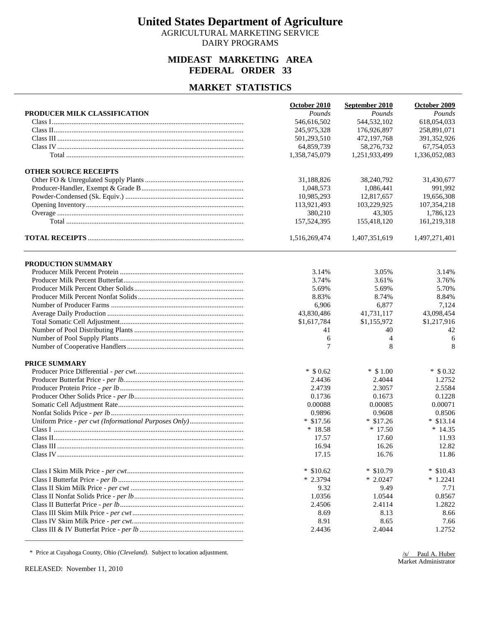AGRICULTURAL MARKETING SERVICE DAIRY PROGRAMS

### **MIDEAST MARKETING AREA FEDERAL ORDER 33**

#### **MARKET STATISTICS**

|                              | October 2010  | September 2010 | October 2009  |
|------------------------------|---------------|----------------|---------------|
| PRODUCER MILK CLASSIFICATION | Pounds        | Pounds         | Pounds        |
|                              | 546,616,502   | 544,532,102    | 618,054,033   |
|                              | 245,975,328   | 176,926,897    | 258,891,071   |
|                              | 501,293,510   | 472,197,768    | 391,352,926   |
|                              | 64,859,739    | 58,276,732     | 67,754,053    |
|                              | 1,358,745,079 | 1,251,933,499  | 1,336,052,083 |
| <b>OTHER SOURCE RECEIPTS</b> |               |                |               |
|                              | 31,188,826    | 38,240,792     | 31,430,677    |
|                              | 1,048,573     | 1,086,441      | 991,992       |
|                              | 10.985.293    | 12,817,657     | 19,656,308    |
|                              | 113,921,493   | 103,229,925    | 107,354,218   |
|                              | 380,210       | 43,305         | 1,786,123     |
|                              | 157,524,395   | 155,418,120    | 161,219,318   |
|                              | 1,516,269,474 | 1,407,351,619  | 1,497,271,401 |
| PRODUCTION SUMMARY           |               |                |               |
|                              | 3.14%         | 3.05%          | 3.14%         |
|                              | 3.74%         | 3.61%          | 3.76%         |
|                              | 5.69%         | 5.69%          | 5.70%         |
|                              | 8.83%         | 8.74%          | 8.84%         |
|                              | 6,906         | 6,877          | 7,124         |
|                              | 43,830,486    | 41,731,117     | 43,098,454    |
|                              | \$1,617,784   | \$1,155,972    | \$1,217,916   |
|                              | 41            | 40             | 42            |
|                              | 6             | $\overline{4}$ | 6             |
|                              | 7             | 8              | 8             |
| PRICE SUMMARY                |               |                |               |
|                              | $*$ \$ 0.62   | $*$ \$ 1.00    | $*$ \$ 0.32   |
|                              | 2.4436        | 2.4044         | 1.2752        |
|                              | 2.4739        | 2.3057         | 2.5584        |
|                              | 0.1736        | 0.1673         | 0.1228        |
|                              | 0.00088       | 0.00085        | 0.00071       |
|                              | 0.9896        | 0.9608         | 0.8506        |
|                              | $*$ \$17.56   | $*$ \$17.26    | $*$ \$13.14   |
|                              | $*18.58$      | $*17.50$       | $*14.35$      |
|                              | 17.57         | 17.60          | 11.93         |
|                              | 16.94         | 16.26          | 12.82         |
|                              | 17.15         | 16.76          | 11.86         |
|                              | $*$ \$10.62   | $*$ \$10.79    | $*$ \$10.43   |
|                              | $*2.3794$     | $*2.0247$      | $*1.2241$     |
|                              | 9.32          | 9.49           | 7.71          |
|                              | 1.0356        | 1.0544         | 0.8567        |
|                              | 2.4506        | 2.4114         | 1.2822        |
|                              | 8.69          | 8.13           | 8.66          |
|                              | 8.91          | 8.65           | 7.66          |
|                              | 2.4436        | 2.4044         | 1.2752        |

\* Price at Cuyahoga County, Ohio *(Cleveland)*. Subject to location adjustment.

RELEASED: November 11, 2010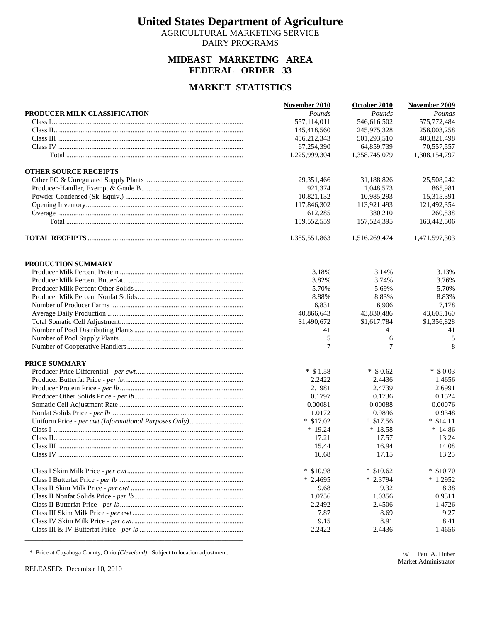AGRICULTURAL MARKETING SERVICE DAIRY PROGRAMS

### **MIDEAST MARKETING AREA FEDERAL ORDER 33**

#### **MARKET STATISTICS**

|                              | November 2010 | October 2010  | November 2009 |
|------------------------------|---------------|---------------|---------------|
| PRODUCER MILK CLASSIFICATION | Pounds        | Pounds        | Pounds        |
|                              | 557,114,011   | 546,616,502   | 575,772,484   |
|                              | 145,418,560   | 245,975,328   | 258,003,258   |
|                              | 456,212,343   | 501,293,510   | 403,821,498   |
|                              | 67,254,390    | 64,859,739    | 70,557,557    |
|                              | 1,225,999,304 | 1,358,745,079 | 1,308,154,797 |
| <b>OTHER SOURCE RECEIPTS</b> |               |               |               |
|                              | 29,351,466    | 31,188,826    | 25,508,242    |
|                              | 921,374       | 1,048,573     | 865,981       |
|                              | 10,821,132    | 10,985,293    | 15,315,391    |
|                              | 117,846,302   | 113,921,493   | 121,492,354   |
|                              | 612,285       | 380,210       | 260,538       |
|                              | 159,552,559   | 157,524,395   | 163,442,506   |
|                              | 1,385,551,863 | 1,516,269,474 | 1,471,597,303 |
| PRODUCTION SUMMARY           |               |               |               |
|                              | 3.18%         | 3.14%         | 3.13%         |
|                              | 3.82%         | 3.74%         | 3.76%         |
|                              | 5.70%         | 5.69%         | 5.70%         |
|                              | 8.88%         | 8.83%         | 8.83%         |
|                              | 6,831         | 6,906         | 7,178         |
|                              | 40,866,643    | 43,830,486    | 43,605,160    |
|                              | \$1,490,672   | \$1,617,784   | \$1,356,828   |
|                              | 41            | 41            | 41            |
|                              | 5             | 6             | 5             |
|                              | 7             | $\tau$        | 8             |
| PRICE SUMMARY                |               |               |               |
|                              | $*$ \$1.58    | $*$ \$ 0.62   | $*$ \$ 0.03   |
|                              | 2.2422        | 2.4436        | 1.4656        |
|                              | 2.1981        | 2.4739        | 2.6991        |
|                              | 0.1797        | 0.1736        | 0.1524        |
|                              | 0.00081       | 0.00088       | 0.00076       |
|                              | 1.0172        | 0.9896        | 0.9348        |
|                              | $*$ \$17.02   | $*$ \$17.56   | $*$ \$14.11   |
|                              | $*19.24$      | $*18.58$      | $*14.86$      |
|                              | 17.21         | 17.57         | 13.24         |
|                              | 15.44         | 16.94         | 14.08         |
|                              | 16.68         | 17.15         | 13.25         |
|                              | $*$ \$10.98   | $*$ \$10.62   | $*$ \$10.70   |
|                              | $*2.4695$     | * 2.3794      | $*1.2952$     |
|                              | 9.68          | 9.32          | 8.38          |
|                              | 1.0756        | 1.0356        | 0.9311        |
|                              | 2.2492        | 2.4506        | 1.4726        |
|                              | 7.87          | 8.69          | 9.27          |
|                              | 9.15          | 8.91          | 8.41          |
|                              | 2.2422        | 2.4436        | 1.4656        |

\* Price at Cuyahoga County, Ohio *(Cleveland)*. Subject to location adjustment.

RELEASED: December 10, 2010